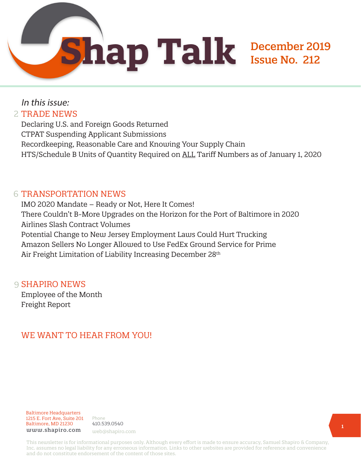# In this issue: 2 TRADE NEWS

Declaring U.S. and Foreign Goods Returned CTPAT Suspending Applicant Submissions Recordkeeping, Reasonable Care and Knowing Your Supply Chain HTS/Schedule B Units of Quantity Required on ALL Tariff Numbers as of January 1, 2020

# 6 TRANSPORTATION NEWS

IMO 2020 Mandate – Ready or Not, Here It Comes! There Couldn't B-More Upgrades on the Horizon for the Port of Baltimore in 2020 Airlines Slash Contract Volumes Potential Change to New Jersey Employment Laws Could Hurt Trucking Amazon Sellers No Longer Allowed to Use FedEx Ground Service for Prime Air Freight Limitation of Liability Increasing December 28<sup>th</sup>

# 9 **SHAPIRO NEWS**

Employee of the Month Freight Report

# WE WANT TO HEAR FROM YOU!

Baltimore Headquarters 1215 E. Fort Ave, Suite 201 Baltimore, MD 21230 www.shapiro.com web@shapiro.com



This newsletter is for informational purposes only. Although every effort is made to ensure accuracy, Samuel Shapiro & Company, Inc. assumes no legal liability for any erroneous information. Links to other websites are provided for reference and convenience and do not constitute endorsement of the content of those sites.

December 2019

Issue No. 212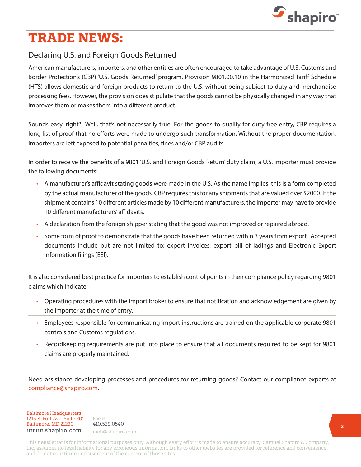

# **TRADE NEWS:**

# Declaring U.S. and Foreign Goods Returned

American manufacturers, importers, and other entities are often encouraged to take advantage of U.S. Customs and Border Protection's (CBP) 'U.S. Goods Returned' program. Provision 9801.00.10 in the Harmonized Tariff Schedule (HTS) allows domestic and foreign products to return to the U.S. without being subject to duty and merchandise processing fees. However, the provision does stipulate that the goods cannot be physically changed in any way that improves them or makes them into a different product.

Sounds easy, right? Well, that's not necessarily true! For the goods to qualify for duty free entry, CBP requires a long list of proof that no efforts were made to undergo such transformation. Without the proper documentation, importers are left exposed to potential penalties, fines and/or CBP audits.

In order to receive the benefits of a 9801 'U.S. and Foreign Goods Return' duty claim, a U.S. importer must provide the following documents:

- A manufacturer's affidavit stating goods were made in the U.S. As the name implies, this is a form completed by the actual manufacturer of the goods. CBP requires this for any shipments that are valued over \$2000. If the shipment contains 10 different articles made by 10 different manufacturers, the importer may have to provide 10 different manufacturers' affidavits.
- A declaration from the foreign shipper stating that the good was not improved or repaired abroad.
- Some form of proof to demonstrate that the goods have been returned within 3 years from export. Accepted documents include but are not limited to: export invoices, export bill of ladings and Electronic Export Information filings (EEI).

It is also considered best practice for importers to establish control points in their compliance policy regarding 9801 claims which indicate:

- Operating procedures with the import broker to ensure that notification and acknowledgement are given by the importer at the time of entry.
- Employees responsible for communicating import instructions are trained on the applicable corporate 9801 controls and Customs regulations.
- Recordkeeping requirements are put into place to ensure that all documents required to be kept for 9801 claims are properly maintained.

Need assistance developing processes and procedures for returning goods? Contact our compliance experts at [compliance@shapiro.com.](mailto:compliance%40shapiro.com?subject=)

Baltimore Headquarters Baltimore Headquarters 1215 E. Fort Ave, Suite 201 www.shapiro.com <sub>web@shapiro.com</sub> Baltimore, MD 21230

Phone Phone rnone<br>410.539.0540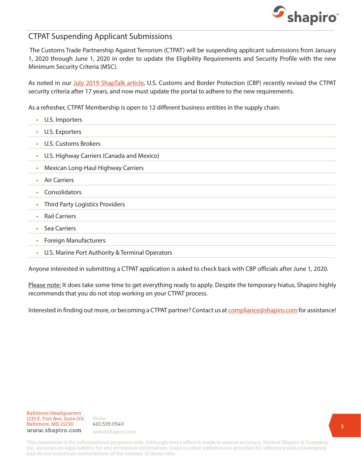

### CTPAT Suspending Applicant Submissions

 The Customs Trade Partnership Against Terrorism (CTPAT) will be suspending applicant submissions from January 1, 2020 through June 1, 2020 in order to update the Eligibility Requirements and Security Profile with the new Minimum Security Criteria (MSC).

As noted in our [July 2019 ShapTalk article,](https://www.shapiro.com/newsletters/july-2019-issue-207/#st-2) U.S. Customs and Border Protection (CBP) recently revised the CTPAT security criteria after 17 years, and now must update the portal to adhere to the new requirements.

As a refresher, CTPAT Membership is open to 12 different business entities in the supply chain:

• U.S. Importers • U.S. Exporters • U.S. Customs Brokers • U.S. Highway Carriers (Canada and Mexico) • Mexican Long-Haul Highway Carriers • Air Carriers • Consolidators • Third Party Logistics Providers • Rail Carriers • Sea Carriers • Foreign Manufacturers • U.S. Marine Port Authority & Terminal Operators

Anyone interested in submitting a CTPAT application is asked to check back with CBP officials after June 1, 2020.

Please note: It does take some time to get everything ready to apply. Despite the temporary hiatus, Shapiro highly recommends that you do not stop working on your CTPAT process.

Interested in finding out more, or becoming a CTPAT partner? Contact us at [compliance@shapiro.com](mailto:compliance%40shapiro.com?subject=) for assistance!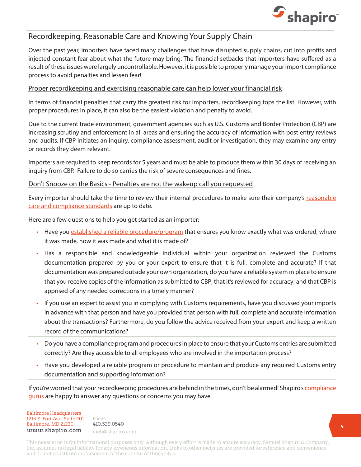

## Recordkeeping, Reasonable Care and Knowing Your Supply Chain

Over the past year, importers have faced many challenges that have disrupted supply chains, cut into profits and injected constant fear about what the future may bring. The financial setbacks that importers have suffered as a result of these issues were largely uncontrollable. However, it is possible to properly manage your import compliance process to avoid penalties and lessen fear!

#### Proper recordkeeping and exercising reasonable care can help lower your financial risk

In terms of financial penalties that carry the greatest risk for importers, recordkeeping tops the list. However, with proper procedures in place, it can also be the easiest violation and penalty to avoid.

Due to the current trade environment, government agencies such as U.S. Customs and Border Protection (CBP) are increasing scrutiny and enforcement in all areas and ensuring the accuracy of information with post entry reviews and audits. If CBP initiates an inquiry, compliance assessment, audit or investigation, they may examine any entry or records they deem relevant.

Importers are required to keep records for 5 years and must be able to produce them within 30 days of receiving an inquiry from CBP. Failure to do so carries the risk of severe consequences and fines.

#### Don't Snooze on the Basics - Penalties are not the wakeup call you requested

Every importer should take the time to review their internal procedures to make sure their company's [reasonable](https://www.shapiro.com/resources/reasonable-care-a-checklist-for-compliance/) [care and compliance standards](https://www.shapiro.com/resources/reasonable-care-a-checklist-for-compliance/) are up to date.

Here are a few questions to help you get started as an importer:

- Have you [established a reliable procedure/program](https://www.shapiro.com/blog/why-invest-in-a-compliance-program/) that ensures you know exactly what was ordered, where it was made, how it was made and what it is made of?
- Has a responsible and knowledgeable individual within your organization reviewed the Customs documentation prepared by you or your expert to ensure that it is full, complete and accurate? If that documentation was prepared outside your own organization, do you have a reliable system in place to ensure that you receive copies of the information as submitted to CBP; that it's reviewed for accuracy; and that CBP is apprised of any needed corrections in a timely manner?
- If you use an expert to assist you in complying with Customs requirements, have you discussed your imports in advance with that person and have you provided that person with full, complete and accurate information about the transactions? Furthermore, do you follow the advice received from your expert and keep a written record of the communications?
- Do you have a compliance program and procedures in place to ensure that your Customs entries are submitted correctly? Are they accessible to all employees who are involved in the importation process?
- Have you developed a reliable program or procedure to maintain and produce any required Customs entry documentation and supporting information?

If you're worried that your recordkeeping procedures are behind in the times, don't be alarmed! Shapiro's [compliance](mailto:mailto:compliance%40shapiro.com?subject=) [gurus](mailto:mailto:compliance%40shapiro.com?subject=) are happy to answer any questions or concerns you may have.

Baltimore Headquarters Baltimore Headquarters 1215 E. Fort Ave, Suite 201 www.shapiro.com <sub>web@shapiro.com</sub> Baltimore, MD 21230

Phone Phone rnone<br>410.539.0540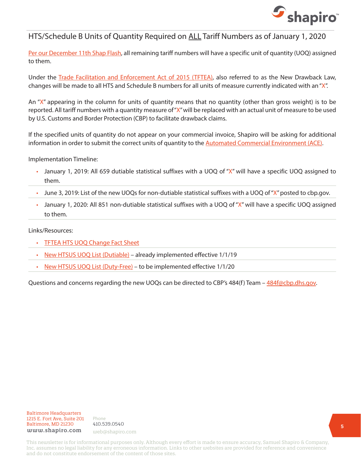

## HTS/Schedule B Units of Quantity Required on ALL Tariff Numbers as of January 1, 2020

[Per our December 11th Shap Flash](https://www.shapiro.com/alerts/hts/schedule-b-units-of-quantity-required-on-all-tariff-number-as-of-january-1-2020/), all remaining tariff numbers will have a specific unit of quantity (UOQ) assigned to them.

Under the [Trade Facilitation and Enforcement Act of 2015 \(TFTEA\),](https://www.shapiro.com/newsletters/december-2018-issue-200/#st-1) also referred to as the New Drawback Law, changes will be made to all HTS and Schedule B numbers for all units of measure currently indicated with an "X".

An " $X''$  appearing in the column for units of quantity means that no quantity (other than gross weight) is to be reported. All tariff numbers with a quantity measure of "X" will be replaced with an actual unit of measure to be used by U.S. Customs and Border Protection (CBP) to facilitate drawback claims.

If the specified units of quantity do not appear on your commercial invoice, Shapiro will be asking for additional information in order to submit the correct units of quantity to the [Automated Commercial Environment \(ACE\).](https://www.shapiro.com/services/automated-commercial-environment-ace/)

Implementation Timeline:

- January 1, 2019: All 659 dutiable statistical suffixes with a UOQ of "X" will have a specific UOQ assigned to them.
- June 3, 2019: List of the new UOQs for non-dutiable statistical suffixes with a UOQ of " $X''$  posted to cbp.gov.
- January 1, 2020: All 851 non-dutiable statistical suffixes with a UOQ of "X" will have a specific UOQ assigned to them.

Links/Resources:

- [TFTEA HTS UOQ Change Fact Sheet](https://www.cbp.gov/sites/default/files/assets/documents/2019-Jun/TFTEA HTS UOQ X Change Fact Sheet_0.pdf)
- [New HTSUS UOQ List \(Dutiable\)](https://www.cbp.gov/sites/default/files/assets/documents/2019-Dec/New HTSUS UOQ List %28Dutiable%29.pdf)  already implemented effective 1/1/19
- [New HTSUS UOQ List \(Duty-Free\)](https://www.cbp.gov/sites/default/files/assets/documents/2019-Dec/New HTSUS UOQ List 1.4 %28Duty-Free%29.pdf) to be implemented effective 1/1/20

Questions and concerns regarding the new UOQs can be directed to CBP's 484(f) Team – [484f@cbp.dhs.gov.](mailto:484f%40cbp.dhs.gov?subject=)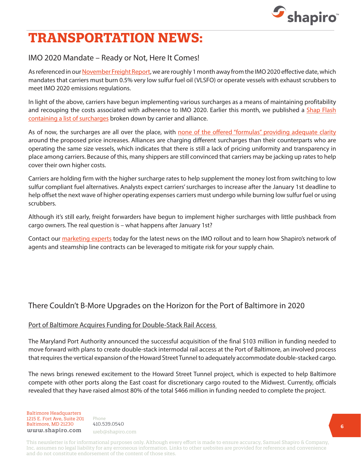

# **TRANSPORTATION NEWS:**

# IMO 2020 Mandate – Ready or Not, Here It Comes!

As referenced in our [November Freight Report,](https://www.shapiro.com/wp-content/uploads/November-2019_Shapiro-Freight-Report.pdf) we are roughly 1 month away from the IMO 2020 effective date, which mandates that carriers must burn 0.5% very low sulfur fuel oil (VLSFO) or operate vessels with exhaust scrubbers to meet IMO 2020 emissions regulations.

In light of the above, carriers have begun implementing various surcharges as a means of maintaining profitability and recouping the costs associated with adherence to IMO 2020. Earlier this month, we published a [Shap Flash](https://www.shapiro.com/alerts/imo-2020-surcharge-summary-december-1-2019-update/) [containing a list of surcharges](https://www.shapiro.com/alerts/imo-2020-surcharge-summary-december-1-2019-update/) broken down by carrier and alliance.

As of now, the surcharges are all over the place, with [none of the offered "formulas" providing adequate clarity](https://www.shapiro.com/wp-content/uploads/Shapiro-Freight-Report-December-2019.pdf) around the proposed price increases. Alliances are charging different surcharges than their counterparts who are operating the same size vessels, which indicates that there is still a lack of pricing uniformity and transparency in place among carriers. Because of this, many shippers are still convinced that carriers may be jacking up rates to help cover their own higher costs.

Carriers are holding firm with the higher surcharge rates to help supplement the money lost from switching to low sulfur compliant fuel alternatives. Analysts expect carriers' surcharges to increase after the January 1st deadline to help offset the next wave of higher operating expenses carriers must undergo while burning low sulfur fuel or using scrubbers.

Although it's still early, freight forwarders have begun to implement higher surcharges with little pushback from cargo owners. The real question is – what happens after January 1st?

Contact our [marketing experts](mailto:mailto:web%40shapiro.com?subject=) today for the latest news on the IMO rollout and to learn how Shapiro's network of agents and steamship line contracts can be leveraged to mitigate risk for your supply chain.

# There Couldn't B-More Upgrades on the Horizon for the Port of Baltimore in 2020

#### Port of Baltimore Acquires Funding for Double-Stack Rail Access

The Maryland Port Authority announced the successful acquisition of the final \$103 million in funding needed to move forward with plans to create double-stack intermodal rail access at the Port of Baltimore, an involved process that requires the vertical expansion of the Howard Street Tunnel to adequately accommodate double-stacked cargo.

The news brings renewed excitement to the Howard Street Tunnel project, which is expected to help Baltimore compete with other ports along the East coast for discretionary cargo routed to the Midwest. Currently, officials revealed that they have raised almost 80% of the total \$466 million in funding needed to complete the project.

Baltimore Headquarters Baltimore Headquarters 1215 E. Fort Ave, Suite 201 www.shapiro.com <sub>web@shapiro.com</sub> Baltimore, MD 21230

Phone Phone rnone<br>410.539.0540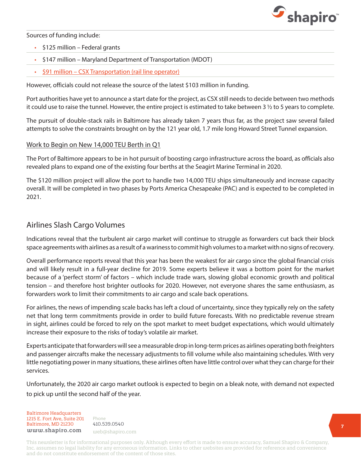

Sources of funding include:

- \$125 million Federal grants
- \$147 million Maryland Department of Transportation (MDOT)
- [\\$91 million CSX Transportation \(rail line operator\)](https://www.shapiro.com/newsletters/january-2019-issue-201/#st-9)

However, officials could not release the source of the latest \$103 million in funding.

Port authorities have yet to announce a start date for the project, as CSX still needs to decide between two methods it could use to raise the tunnel. However, the entire project is estimated to take between 3 ½ to 5 years to complete.

The pursuit of double-stack rails in Baltimore has already taken 7 years thus far, as the project saw several failed attempts to solve the constraints brought on by the 121 year old, 1.7 mile long Howard Street Tunnel expansion.

#### Work to Begin on New 14,000 TEU Berth in Q1

The Port of Baltimore appears to be in hot pursuit of boosting cargo infrastructure across the board, as officials also revealed plans to expand one of the existing four berths at the Seagirt Marine Terminal in 2020.

The \$120 million project will allow the port to handle two 14,000 TEU ships simultaneously and increase capacity overall. It will be completed in two phases by Ports America Chesapeake (PAC) and is expected to be completed in 2021.

## Airlines Slash Cargo Volumes

Indications reveal that the turbulent air cargo market will continue to struggle as forwarders cut back their block space agreements with airlines as a result of a wariness to commit high volumes to a market with no signs of recovery.

Overall performance reports reveal that this year has been the weakest for air cargo since the global financial crisis and will likely result in a full-year decline for 2019. Some experts believe it was a bottom point for the market because of a 'perfect storm' of factors – which include trade wars, slowing global economic growth and political tension – and therefore host brighter outlooks for 2020. However, not everyone shares the same enthusiasm, as forwarders work to limit their commitments to air cargo and scale back operations.

For airlines, the news of impending scale backs has left a cloud of uncertainty, since they typically rely on the safety net that long term commitments provide in order to build future forecasts. With no predictable revenue stream in sight, airlines could be forced to rely on the spot market to meet budget expectations, which would ultimately increase their exposure to the risks of today's volatile air market.

Experts anticipate that forwarders will see a measurable drop in long-term prices as airlines operating both freighters and passenger aircrafts make the necessary adjustments to fill volume while also maintaining schedules. With very little negotiating power in many situations, these airlines often have little control over what they can charge for their services.

Unfortunately, the 2020 air cargo market outlook is expected to begin on a bleak note, with demand not expected to pick up until the second half of the year.

Baltimore Headquarters Baltimore Headquarters 1215 E. Fort Ave, Suite 201 www.shapiro.com <sub>web@shapiro.com</sub> Baltimore, MD 21230

Phone Phone rnone<br>410.539.0540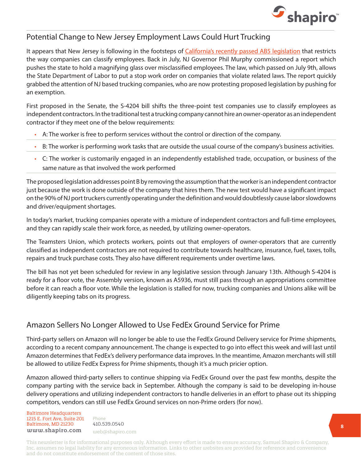

## Potential Change to New Jersey Employment Laws Could Hurt Trucking

It appears that New Jersey is following in the footsteps of [California's recently passed AB5 legislation](https://www.shapiro.com/newsletters/november-2019-issue-211/#st-6) that restricts the way companies can classify employees. Back in July, NJ Governor Phil Murphy commissioned a report which pushes the state to hold a magnifying glass over misclassified employees. The law, which passed on July 9th, allows the State Department of Labor to put a stop work order on companies that violate related laws. The report quickly grabbed the attention of NJ based trucking companies, who are now protesting proposed legislation by pushing for an exemption.

First proposed in the Senate, the S-4204 bill shifts the three-point test companies use to classify employees as independent contractors. In the traditional test a trucking company cannot hire an owner-operator as an independent contractor if they meet one of the below requirements:

- A: The worker is free to perform services without the control or direction of the company.
- B: The worker is performing work tasks that are outside the usual course of the company's business activities.
- C: The worker is customarily engaged in an independently established trade, occupation, or business of the same nature as that involved the work performed

The proposed legislation addresses point B by removing the assumption that the worker is an independent contractor just because the work is done outside of the company that hires them. The new test would have a significant impact on the 90% of NJ port truckers currently operating under the definition and would doubtlessly cause labor slowdowns and driver/equipment shortages.

In today's market, trucking companies operate with a mixture of independent contractors and full-time employees, and they can rapidly scale their work force, as needed, by utilizing owner-operators.

The Teamsters Union, which protects workers, points out that employers of owner-operators that are currently classified as independent contractors are not required to contribute towards healthcare, insurance, fuel, taxes, tolls, repairs and truck purchase costs. They also have different requirements under overtime laws.

The bill has not yet been scheduled for review in any legislative session through January 13th. Although S-4204 is ready for a floor vote, the Assembly version, known as A5936, must still pass through an appropriations committee before it can reach a floor vote. While the legislation is stalled for now, trucking companies and Unions alike will be diligently keeping tabs on its progress.

# Amazon Sellers No Longer Allowed to Use FedEx Ground Service for Prime

Third-party sellers on Amazon will no longer be able to use the FedEx Ground Delivery service for Prime shipments, according to a recent company announcement. The change is expected to go into effect this week and will last until Amazon determines that FedEx's delivery performance data improves. In the meantime, Amazon merchants will still be allowed to utilize FedEx Express for Prime shipments, though it's a much pricier option.

Amazon allowed third-party sellers to continue shipping via FedEx Ground over the past few months, despite the company parting with the service back in September. Although the company is said to be developing in-house delivery operations and utilizing independent contractors to handle deliveries in an effort to phase out its shipping competitors, vendors can still use FedEx Ground services on non-Prime orders (for now).

Baltimore Headquarters Baltimore Headquarters 1215 E. Fort Ave, Suite 201 www.shapiro.com <sub>web@shapiro.com</sub> Baltimore, MD 21230

Phone Phone rnone<br>410.539.0540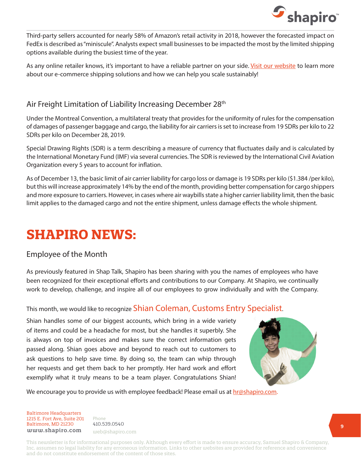

Third-party sellers accounted for nearly 58% of Amazon's retail activity in 2018, however the forecasted impact on FedEx is described as "miniscule". Analysts expect small businesses to be impacted the most by the limited shipping options available during the busiest time of the year.

As any online retailer knows, it's important to have a reliable partner on your side. [Visit our website](https://www.shapiro.com/services/ecommerce-shipping/) to learn more about our e-commerce shipping solutions and how we can help you scale sustainably!

## Air Freight Limitation of Liability Increasing December 28<sup>th</sup>

Under the Montreal Convention, a multilateral treaty that provides for the uniformity of rules for the compensation of damages of passenger baggage and cargo, the liability for air carriers is set to increase from 19 SDRs per kilo to 22 SDRs per kilo on December 28, 2019.

Special Drawing Rights (SDR) is a term describing a measure of currency that fluctuates daily and is calculated by the International Monetary Fund (IMF) via several currencies. The SDR is reviewed by the International Civil Aviation Organization every 5 years to account for inflation.

As of December 13, the basic limit of air carrier liability for cargo loss or damage is 19 SDRs per kilo (\$1.384 /per kilo), but this will increase approximately 14% by the end of the month, providing better compensation for cargo shippers and more exposure to carriers. However, in cases where air waybills state a higher carrier liability limit, then the basic limit applies to the damaged cargo and not the entire shipment, unless damage effects the whole shipment.

# **SHAPIRO NEWS:**

#### Employee of the Month

As previously featured in Shap Talk, Shapiro has been sharing with you the names of employees who have been recognized for their exceptional efforts and contributions to our Company. At Shapiro, we continually work to develop, challenge, and inspire all of our employees to grow individually and with the Company.

This month, we would like to recognize Shian Coleman, Customs Entry Specialist.

Shian handles some of our biggest accounts, which bring in a wide variety of items and could be a headache for most, but she handles it superbly. She is always on top of invoices and makes sure the correct information gets passed along. Shian goes above and beyond to reach out to customers to ask questions to help save time. By doing so, the team can whip through her requests and get them back to her promptly. Her hard work and effort exemplify what it truly means to be a team player. Congratulations Shian!



We encourage you to provide us with employee feedback! Please email us at [hr@shapiro.com](mailto:hr%40shapiro.com?subject=).

Baltimore Headquarters Baltimore Headquarters 1215 E. Fort Ave, Suite 201 www.shapiro.com <sub>web@shapiro.com</sub> Baltimore, MD 21230

Phone Phone rnone<br>410.539.0540